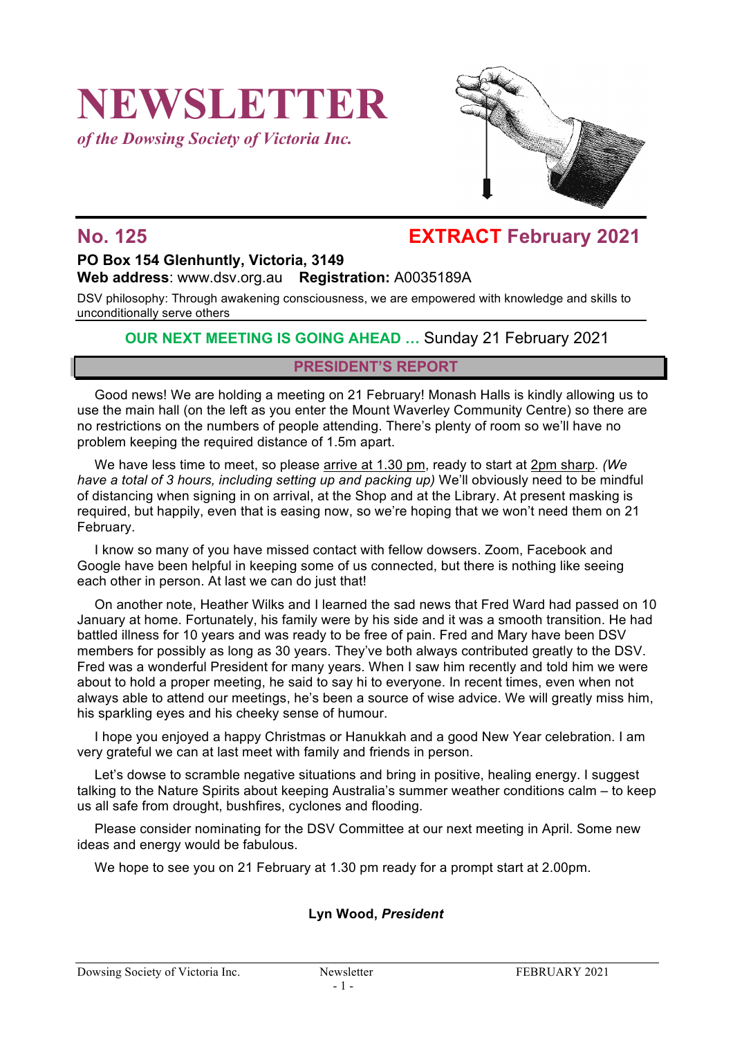# **NEWSLETTER**

*of the Dowsing Society of Victoria Inc.*



# **No. 125 EXTRACT February 2021**

# **PO Box 154 Glenhuntly, Victoria, 3149**

**Web address**: www.dsv.org.au **Registration:** A0035189A

DSV philosophy: Through awakening consciousness, we are empowered with knowledge and skills to unconditionally serve others

#### **OUR NEXT MEETING IS GOING AHEAD …** Sunday 21 February 2021

#### **PRESIDENT'S REPORT**

Good news! We are holding a meeting on 21 February! Monash Halls is kindly allowing us to use the main hall (on the left as you enter the Mount Waverley Community Centre) so there are no restrictions on the numbers of people attending. There's plenty of room so we'll have no problem keeping the required distance of 1.5m apart.

We have less time to meet, so please arrive at 1.30 pm, ready to start at 2pm sharp. *(We have a total of 3 hours, including setting up and packing up)* We'll obviously need to be mindful of distancing when signing in on arrival, at the Shop and at the Library. At present masking is required, but happily, even that is easing now, so we're hoping that we won't need them on 21 February.

I know so many of you have missed contact with fellow dowsers. Zoom, Facebook and Google have been helpful in keeping some of us connected, but there is nothing like seeing each other in person. At last we can do just that!

On another note, Heather Wilks and I learned the sad news that Fred Ward had passed on 10 January at home. Fortunately, his family were by his side and it was a smooth transition. He had battled illness for 10 years and was ready to be free of pain. Fred and Mary have been DSV members for possibly as long as 30 years. They've both always contributed greatly to the DSV. Fred was a wonderful President for many years. When I saw him recently and told him we were about to hold a proper meeting, he said to say hi to everyone. In recent times, even when not always able to attend our meetings, he's been a source of wise advice. We will greatly miss him, his sparkling eyes and his cheeky sense of humour.

I hope you enjoyed a happy Christmas or Hanukkah and a good New Year celebration. I am very grateful we can at last meet with family and friends in person.

Let's dowse to scramble negative situations and bring in positive, healing energy. I suggest talking to the Nature Spirits about keeping Australia's summer weather conditions calm – to keep us all safe from drought, bushfires, cyclones and flooding.

Please consider nominating for the DSV Committee at our next meeting in April. Some new ideas and energy would be fabulous.

We hope to see you on 21 February at 1.30 pm ready for a prompt start at 2.00pm.

#### **Lyn Wood,** *President*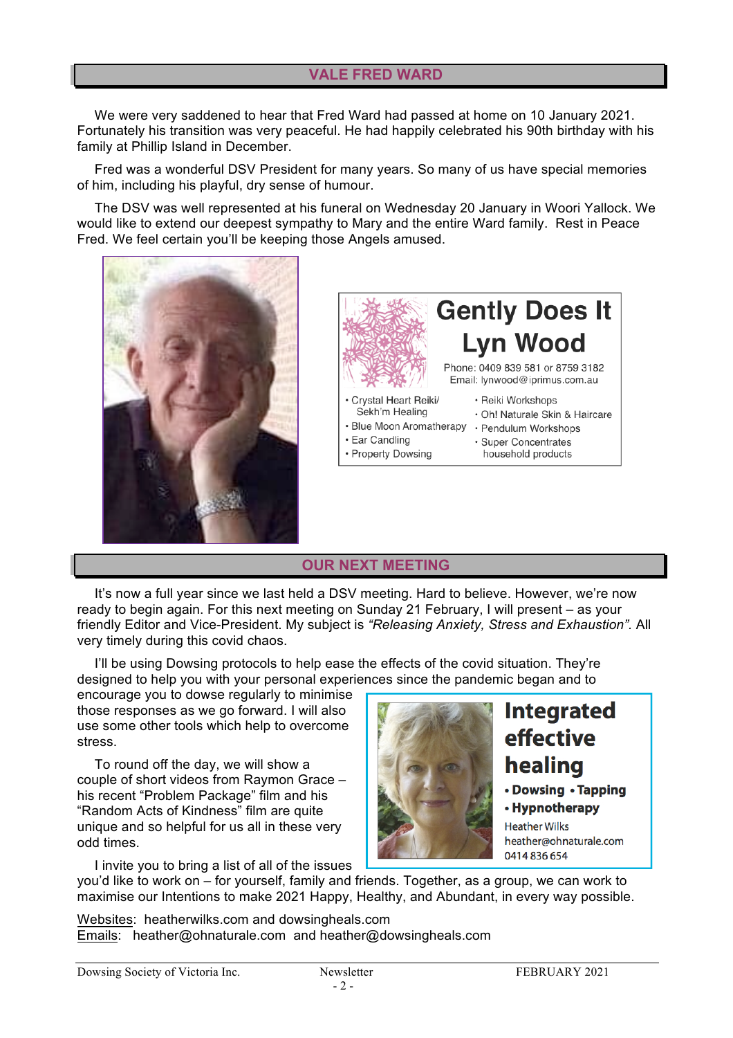#### **VALE FRED WARD**

We were very saddened to hear that Fred Ward had passed at home on 10 January 2021. Fortunately his transition was very peaceful. He had happily celebrated his 90th birthday with his family at Phillip Island in December.

Fred was a wonderful DSV President for many years. So many of us have special memories of him, including his playful, dry sense of humour.

The DSV was well represented at his funeral on Wednesday 20 January in Woori Yallock. We would like to extend our deepest sympathy to Mary and the entire Ward family. Rest in Peace Fred. We feel certain you'll be keeping those Angels amused.





· Property Dowsing

household products

#### **OUR NEXT MEETING**

It's now a full year since we last held a DSV meeting. Hard to believe. However, we're now ready to begin again. For this next meeting on Sunday 21 February, I will present – as your friendly Editor and Vice-President. My subject is *"Releasing Anxiety, Stress and Exhaustion".* All very timely during this covid chaos.

I'll be using Dowsing protocols to help ease the effects of the covid situation. They're designed to help you with your personal experiences since the pandemic began and to

encourage you to dowse regularly to minimise those responses as we go forward. I will also use some other tools which help to overcome stress.

To round off the day, we will show a couple of short videos from Raymon Grace – his recent "Problem Package" film and his "Random Acts of Kindness" film are quite unique and so helpful for us all in these very odd times.

I invite you to bring a list of all of the issues



# **Integrated effective** healing

#### • Dowsing • Tapping

• Hypnotherapy

**Heather Wilks** heather@ohnaturale.com 0414836654

you'd like to work on – for yourself, family and friends. Together, as a group, we can work to maximise our Intentions to make 2021 Happy, Healthy, and Abundant, in every way possible.

Websites: heatherwilks.com and dowsingheals.com Emails: heather@ohnaturale.com and heather@dowsingheals.com